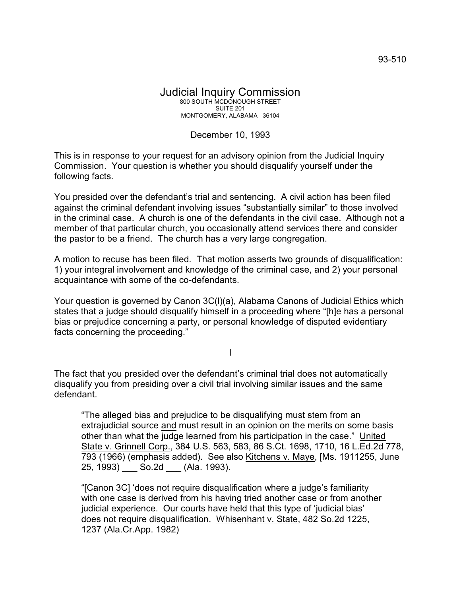## Judicial Inquiry Commission 800 SOUTH MCDONOUGH STREET SUITE 201 MONTGOMERY, ALABAMA 36104

## December 10, 1993

This is in response to your request for an advisory opinion from the Judicial Inquiry Commission. Your question is whether you should disqualify yourself under the following facts.

You presided over the defendant's trial and sentencing. A civil action has been filed against the criminal defendant involving issues "substantially similar" to those involved in the criminal case. A church is one of the defendants in the civil case. Although not a member of that particular church, you occasionally attend services there and consider the pastor to be a friend. The church has a very large congregation.

A motion to recuse has been filed. That motion asserts two grounds of disqualification: 1) your integral involvement and knowledge of the criminal case, and 2) your personal acquaintance with some of the co-defendants.

Your question is governed by Canon 3C(l)(a), Alabama Canons of Judicial Ethics which states that a judge should disqualify himself in a proceeding where "[h]e has a personal bias or prejudice concerning a party, or personal knowledge of disputed evidentiary facts concerning the proceeding."

I

The fact that you presided over the defendant's criminal trial does not automatically disqualify you from presiding over a civil trial involving similar issues and the same defendant.

"The alleged bias and prejudice to be disqualifying must stem from an extrajudicial source and must result in an opinion on the merits on some basis other than what the judge learned from his participation in the case." United State v. Grinnell Corp., 384 U.S. 563, 583, 86 S.Ct. 1698, 1710, 16 L.Ed.2d 778, 793 (1966) (emphasis added). See also Kitchens v. Maye, [Ms. 1911255, June 25, 1993) **So.2d** (Ala. 1993).

"[Canon 3C] 'does not require disqualification where a judge's familiarity with one case is derived from his having tried another case or from another judicial experience. Our courts have held that this type of 'judicial bias' does not require disqualification. Whisenhant v. State, 482 So.2d 1225, 1237 (Ala.Cr.App. 1982)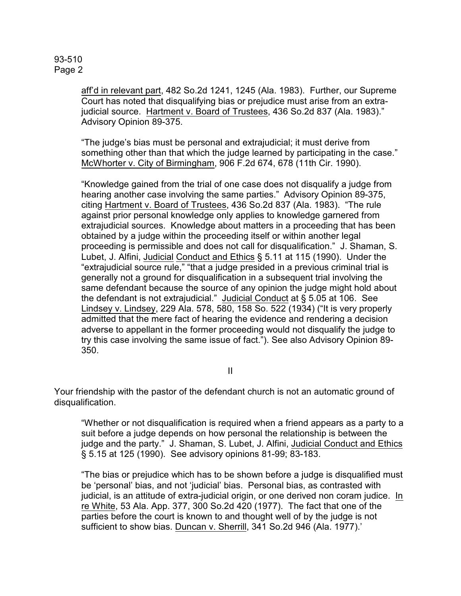93-510 Page 2

> aff'd in relevant part, 482 So.2d 1241, 1245 (Ala. 1983). Further, our Supreme Court has noted that disqualifying bias or prejudice must arise from an extrajudicial source. Hartment v. Board of Trustees, 436 So.2d 837 (Ala. 1983)." Advisory Opinion 89-375.

> "The judge's bias must be personal and extrajudicial; it must derive from something other than that which the judge learned by participating in the case." McWhorter v. City of Birmingham, 906 F.2d 674, 678 (11th Cir. 1990).

> "Knowledge gained from the trial of one case does not disqualify a judge from hearing another case involving the same parties." Advisory Opinion 89-375, citing Hartment v. Board of Trustees, 436 So.2d 837 (Ala. 1983). "The rule against prior personal knowledge only applies to knowledge garnered from extrajudicial sources. Knowledge about matters in a proceeding that has been obtained by a judge within the proceeding itself or within another legal proceeding is permissible and does not call for disqualification." J. Shaman, S. Lubet, J. Alfini, Judicial Conduct and Ethics § 5.11 at 115 (1990). Under the "extrajudicial source rule," "that a judge presided in a previous criminal trial is generally not a ground for disqualification in a subsequent trial involving the same defendant because the source of any opinion the judge might hold about the defendant is not extrajudicial." Judicial Conduct at § 5.05 at 106. See Lindsey v. Lindsey, 229 Ala. 578, 580, 158 So. 522 (1934) ("It is very properly admitted that the mere fact of hearing the evidence and rendering a decision adverse to appellant in the former proceeding would not disqualify the judge to try this case involving the same issue of fact."). See also Advisory Opinion 89- 350.

> > II

Your friendship with the pastor of the defendant church is not an automatic ground of disqualification.

"Whether or not disqualification is required when a friend appears as a party to a suit before a judge depends on how personal the relationship is between the judge and the party." J. Shaman, S. Lubet, J. Alfini, Judicial Conduct and Ethics § 5.15 at 125 (1990). See advisory opinions 81-99; 83-183.

"The bias or prejudice which has to be shown before a judge is disqualified must be 'personal' bias, and not 'judicial' bias. Personal bias, as contrasted with judicial, is an attitude of extra-judicial origin, or one derived non coram judice. In re White, 53 Ala. App. 377, 300 So.2d 420 (1977). The fact that one of the parties before the court is known to and thought well of by the judge is not sufficient to show bias. Duncan v. Sherrill, 341 So.2d 946 (Ala. 1977).'